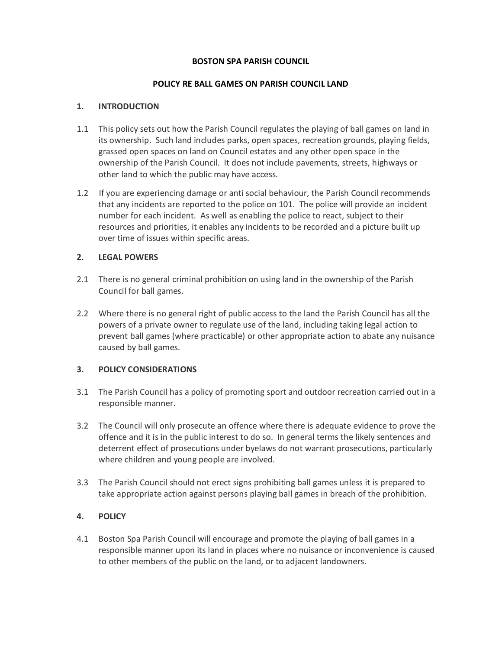#### **BOSTON SPA PARISH COUNCIL**

#### **POLICY RE BALL GAMES ON PARISH COUNCIL LAND**

#### **1. INTRODUCTION**

- 1.1 This policy sets out how the Parish Council regulates the playing of ball games on land in its ownership. Such land includes parks, open spaces, recreation grounds, playing fields, grassed open spaces on land on Council estates and any other open space in the ownership of the Parish Council. It does not include pavements, streets, highways or other land to which the public may have access.
- 1.2 If you are experiencing damage or anti social behaviour, the Parish Council recommends that any incidents are reported to the police on 101. The police will provide an incident number for each incident. As well as enabling the police to react, subject to their resources and priorities, it enables any incidents to be recorded and a picture built up over time of issues within specific areas.

# **2. LEGAL POWERS**

- 2.1 There is no general criminal prohibition on using land in the ownership of the Parish Council for ball games.
- 2.2 Where there is no general right of public access to the land the Parish Council has all the powers of a private owner to regulate use of the land, including taking legal action to prevent ball games (where practicable) or other appropriate action to abate any nuisance caused by ball games.

# **3. POLICY CONSIDERATIONS**

- 3.1 The Parish Council has a policy of promoting sport and outdoor recreation carried out in a responsible manner.
- 3.2 The Council will only prosecute an offence where there is adequate evidence to prove the offence and it is in the public interest to do so. In general terms the likely sentences and deterrent effect of prosecutions under byelaws do not warrant prosecutions, particularly where children and young people are involved.
- 3.3 The Parish Council should not erect signs prohibiting ball games unless it is prepared to take appropriate action against persons playing ball games in breach of the prohibition.

# **4. POLICY**

4.1 Boston Spa Parish Council will encourage and promote the playing of ball games in a responsible manner upon its land in places where no nuisance or inconvenience is caused to other members of the public on the land, or to adjacent landowners.